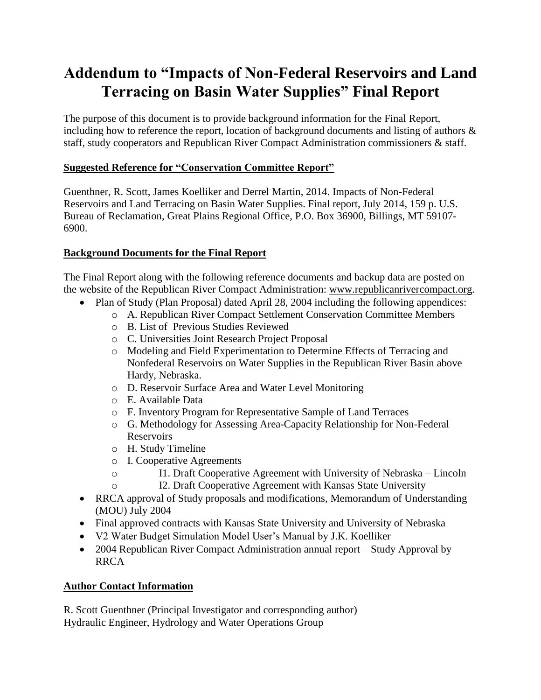# **Addendum to "Impacts of Non-Federal Reservoirs and Land Terracing on Basin Water Supplies" Final Report**

The purpose of this document is to provide background information for the Final Report, including how to reference the report, location of background documents and listing of authors & staff, study cooperators and Republican River Compact Administration commissioners & staff.

## **Suggested Reference for "Conservation Committee Report"**

Guenthner, R. Scott, James Koelliker and Derrel Martin, 2014. Impacts of Non-Federal Reservoirs and Land Terracing on Basin Water Supplies. Final report, July 2014, 159 p. U.S. Bureau of Reclamation, Great Plains Regional Office, P.O. Box 36900, Billings, MT 59107- 6900.

# **Background Documents for the Final Report**

The Final Report along with the following reference documents and backup data are posted on the website of the Republican River Compact Administration: www.republicanrivercompact.org.

- Plan of Study (Plan Proposal) dated April 28, 2004 including the following appendices:
	- o A. Republican River Compact Settlement Conservation Committee Members
	- o B. List of Previous Studies Reviewed
	- o C. Universities Joint Research Project Proposal
	- o Modeling and Field Experimentation to Determine Effects of Terracing and Nonfederal Reservoirs on Water Supplies in the Republican River Basin above Hardy, Nebraska.
	- o D. Reservoir Surface Area and Water Level Monitoring
	- o E. Available Data
	- o F. Inventory Program for Representative Sample of Land Terraces
	- o G. Methodology for Assessing Area-Capacity Relationship for Non-Federal Reservoirs
	- o H. Study Timeline
	- o I. Cooperative Agreements
	- o I1. Draft Cooperative Agreement with University of Nebraska Lincoln
		- I2. Draft Cooperative Agreement with Kansas State University
- RRCA approval of Study proposals and modifications, Memorandum of Understanding (MOU) July 2004
- Final approved contracts with Kansas State University and University of Nebraska
- V2 Water Budget Simulation Model User's Manual by J.K. Koelliker
- 2004 Republican River Compact Administration annual report Study Approval by RRCA

## **Author Contact Information**

R. Scott Guenthner (Principal Investigator and corresponding author) Hydraulic Engineer, Hydrology and Water Operations Group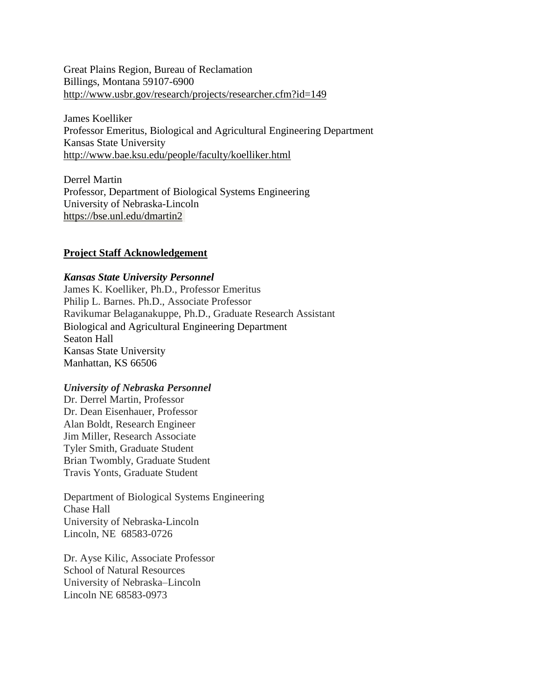Great Plains Region, Bureau of Reclamation Billings, Montana 59107-6900 <http://www.usbr.gov/research/projects/researcher.cfm?id=149>

James Koelliker Professor Emeritus, Biological and Agricultural Engineering Department Kansas State University <http://www.bae.ksu.edu/people/faculty/koelliker.html>

Derrel Martin Professor, Department of Biological Systems Engineering University of Nebraska-Lincoln <https://bse.unl.edu/dmartin2>

## **Project Staff Acknowledgement**

#### *Kansas State University Personnel*

James K. Koelliker, Ph.D., Professor Emeritus Philip L. Barnes. Ph.D., Associate Professor Ravikumar Belaganakuppe, Ph.D., Graduate Research Assistant Biological and Agricultural Engineering Department Seaton Hall Kansas State University Manhattan, KS 66506

#### *University of Nebraska Personnel*

Dr. Derrel Martin, Professor Dr. Dean Eisenhauer, Professor Alan Boldt, Research Engineer Jim Miller, Research Associate Tyler Smith, Graduate Student Brian Twombly, Graduate Student Travis Yonts, Graduate Student

Department of Biological Systems Engineering Chase Hall University of Nebraska-Lincoln Lincoln, NE 68583-0726

Dr. Ayse Kilic, Associate Professor School of Natural Resources University of Nebraska–Lincoln Lincoln NE 68583-0973